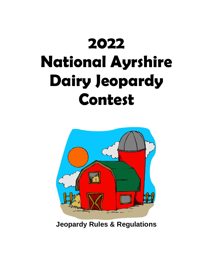## **2022 National Ayrshire Dairy Jeopardy Contest**



**Jeopardy Rules & Regulations**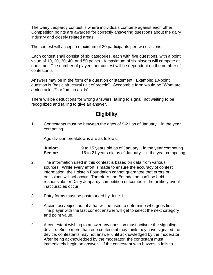The Dairy Jeopardy contest is where individuals compete against each other. Competition points are awarded for correctly answering questions about the dairy industry and closely related areas.

The contest will accept a maximum of 30 participants per two divisions.

Each contest shall consist of six categories, each with five questions, with a point value of 10, 20, 30, 40, and 50 points. A maximum of six players will compete at one time. The number of players per contest will be dependent on the number of contestants.

Answers may be in the form of a question or statement. Example: 10-point question is "basic structural unit of protein". Acceptable form would be "What are amino acids?" or "amino acids".

There will be deductions for wrong answers, failing to signal, not waiting to be recognized and failing to give an answer.

## **Eligibility**

1. Contestants must be between the ages of 9-21 as of January 1 in the year competing.

Age division breakdowns are as follows:

| Junior: | 9 to 15 years old as of January 1 in the year competing  |
|---------|----------------------------------------------------------|
| Senior: | 16 to 21 years old as of January 1 in the year competing |

- 2. The information used in this contest is based on data from various sources. While every effort is made to ensure the accuracy of contest information, the Holstein Foundation cannot guarantee that errors or omissions will not occur. Therefore, the Foundation can't be held responsible for Dairy Jeopardy competition outcomes in the unlikely event inaccuracies occur.
- 3. Entry forms must be postmarked by June 1st.
- 4. A coin toss/object out of a hat will be used to determine who goes first. The player with the last correct answer will get to select the next category and point value.
- 5. A contestant wishing to answer any question must activate the signaling device. Since more than one contestant may think they have signaled the device, contestants may not answer until acknowledged by the moderator. After being acknowledged by the moderator, the contestant must immediately begin an answer. If the contestant who buzzes in fails to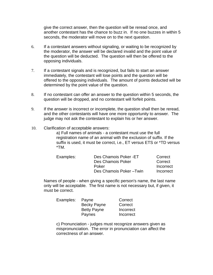give the correct answer, then the question will be reread once, and another contestant has the chance to buzz in. If no one buzzes in within 5 seconds, the moderator will move on to the next question.

- 6. If a contestant answers without signaling, or waiting to be recognized by the moderator, the answer will be declared invalid and the point value of the question will be deducted. The question will then be offered to the opposing individuals.
- 7. If a contestant signals and is recognized, but fails to start an answer immediately, the contestant will lose points and the question will be offered to the opposing individuals. The amount of points deducted will be determined by the point value of the question.
- 8. If no contestant can offer an answer to the question within 5 seconds, the question will be dropped, and no contestant will forfeit points.
- 9. If the answer is incorrect or incomplete, the question shall then be reread, and the other contestants will have one more opportunity to answer. The judge may not ask the contestant to explain his or her answer.
- 10. Clarification of acceptable answers:

a) Full names of animals - a contestant must use the full registration name of an animal with the exclusion of suffix. If the suffix is used, it must be correct, i.e., ET versus ETS or \*TD versus \*TM.

| Examples: | Des Chamois Poker - ET | Correct   |
|-----------|------------------------|-----------|
|           | Des Chamois Poker      | Correct   |
|           | Poker                  | Incorrect |
|           | Des Chamois Poker-Twin | Incorrect |

Names of people - when giving a specific person's name, the last name only will be acceptable. The first name is not necessary but, if given, it must be correct.

| Payne              | Correct   |
|--------------------|-----------|
| <b>Becky Payne</b> | Correct   |
| <b>Betty Payne</b> | Incorrect |
| Paynes             | Incorrect |
|                    |           |

c) Pronunciation - judges must recognize answers given as mispronunciation. The error in pronunciation can affect the correctness of an answer.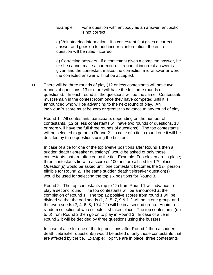Example: For a question with antibody as an answer, antibiotic is not correct.

d) Volunteering information - if a contestant first gives a correct answer and goes on to add incorrect information, the entire question will be ruled incorrect.

e) Correcting answers - if a contestant gives a complete answer, he or she cannot make a correction. If a partial incorrect answer is given and the contestant makes the correction mid-answer or word, the corrected answer will not be accepted.

11. There will be three rounds of play (12 or less contestants will have two rounds of questions, 13 or more will have the full three rounds of questions). In each round all the questions will be the same. Contestants must remain in the contest room once they have competed until it is announced who will be advancing to the next round of play. An individual's score must be zero or greater to advance to any round of play.

Round 1 - All contestants participate, depending on the number of contestants, (12 or less contestants will have two rounds of questions, 13 or more will have the full three rounds of questions). The top contestants will be selected to go on to Round 2. In case of a tie in round one it will be decided by three questions using the buzzers.

In case of a tie for one of the top twelve positions after Round 1 then a sudden death tiebreaker question(s) would be asked of only those contestants that are affected by the tie. Example: Top eleven are in place; three contestants tie with a score of 100 and are all tied for  $12<sup>th</sup>$  place. Question(s) would be asked until one contestant becomes the 12<sup>th</sup> person eligible for Round 2. The same sudden death tiebreaker question(s) would be used for selecting the top six positions for Round 3.

Round 2 - The top contestants (up to 12) from Round 1 will advance to play a second round. The top contestants will be announced at the completion of Round 1. The top 12 positive scores from round 1 will be divided so that the odd seeds (1, 3, 5, 7, 9 & 11) will be in one group, and the even seeds (2, 4, 6, 8, 10 & 12) will be in a second group. Again, a random selection of who selects first takes place. The top contestants (up to 6) from Round 2 then go on to play in Round 3. In case of a tie in Round 2 it will be decided by three questions using the buzzers.

In case of a tie for one of the top positions after Round 2 then a sudden death tiebreaker question(s) would be asked of only those contestants that are affected by the tie. Example: Top five are in place; three contestants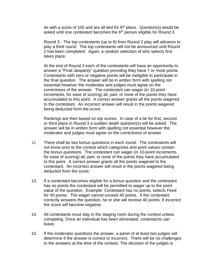tie with a score of 100 and are all tied for  $6<sup>th</sup>$  place. Question(s) would be asked until one contestant becomes the 6<sup>th</sup> person eligible for Round 3.

Round 3 - The top contestants (up to 6) from Round 2 play will advance to play a third round. The top contestants will not be announced until Round 2 has been completed. Again, a random selection of who selects first takes place.

At the end of Round 3 each of the contestants will have an opportunity to answer a "Final Jeopardy" question providing they have 1 or more points. Contestants with zero or negative points will be ineligible to participate in the final question. The answer will be in written form with spelling not essential however the moderator and judges must agree on the correctness of the answer. The contestant can wager (in 10-point increments, for ease of scoring) all, part, or none of the points they have accumulated to this point. A correct answer grants all the points wagered to the contestant. An incorrect answer will result in the points wagered being deducted from the score.

Rankings are then based on top scores. In case of a tie for first, second or third place in Round 3 a sudden death question(s) will be asked. The answer will be in written form with spelling not essential however the moderator and judges must agree on the correctness of answer.

- 12. There shall be two bonus questions in each round. The contestants will not know prior to the contest which categories and point values contain the bonus questions. The contestant can wager (in 10-point increments, for ease of scoring) all, part, or none of the points they have accumulated to this point. A correct answer grants all the points wagered to the contestant. An incorrect answer will result in the points wagered being deducted from the score.
- 13. If a contestant becomes eligible for a bonus question and the contestant has no points the contestant will be permitted to wager up to the point value of the question. Example: Contestant has no points, selects Feed for 40 points. The wager cannot exceed 40 points. If the contestant correctly answers the question, he or she will receive 40 points; if incorrect the score will become negative.
- 14. All contestants must stay in the staging room during the contest unless competing. Once an individual has been eliminated, contestants can leave.
- 15. If the moderator questions the answer, a panel of at least two judges will determine if the answer is correct or incorrect. There will be no challenges to the answers at the time of the contest. The decision of the judges is